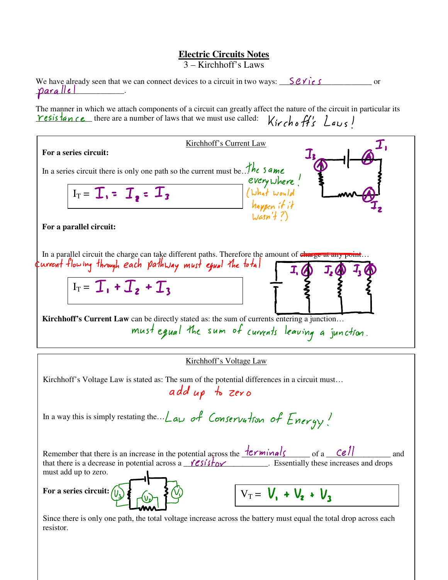## **Electric Circuits Notes**

3 – Kirchhoff's Laws

| We have already seen that we can connect devices to a circuit in two ways: $\sum \mathcal{C} \mathcal{V}$ i.e. S     | $\alpha$ or |
|----------------------------------------------------------------------------------------------------------------------|-------------|
| paralle                                                                                                              |             |
|                                                                                                                      |             |
| The manner in which we attach components of a circuit can greatly affect the nature of the circuit in particular its |             |
| resistance there are a number of laws that we must use called: $k$ irchoff's Laws l                                  |             |

| Kirchhoff's Current Law                                                                                                                                                                                                                                                                                                                                                          |  |  |
|----------------------------------------------------------------------------------------------------------------------------------------------------------------------------------------------------------------------------------------------------------------------------------------------------------------------------------------------------------------------------------|--|--|
| For a series circuit:                                                                                                                                                                                                                                                                                                                                                            |  |  |
| In a series circuit there is only one path so the current must be. The same<br>every where!<br>(What would<br>happen if it<br>$I_T = \mathcal{I}_1 = \mathcal{I}_2 = \mathcal{I}_3$                                                                                                                                                                                              |  |  |
| $\text{Wasn}'$ $\{7\}$<br>For a parallel circuit:                                                                                                                                                                                                                                                                                                                                |  |  |
| In a parallel circuit the charge can take different paths. Therefore the amount of charge at any point<br>current flowing through each pathway must equal the total<br>$I_T = \mathcal{T}_1 + \mathcal{T}_2 + \mathcal{T}_3$<br>Kirchhoff's Current Law can be directly stated as: the sum of currents entering a junction<br>must equal the sum of currents leaving a junction. |  |  |
| Kirchhoff's Voltage Law                                                                                                                                                                                                                                                                                                                                                          |  |  |
| Kirchhoff's Voltage Law is stated as: The sum of the potential differences in a circuit must<br>add up to zero                                                                                                                                                                                                                                                                   |  |  |
| In a way this is simply restating the $\angle$ and of Conservation of Energy!                                                                                                                                                                                                                                                                                                    |  |  |
| Remember that there is an increase in the potential across the $\frac{terminals}{\sim}$ of a $\frac{ceil}{\sim}$<br>and<br>that there is a decrease in potential across a $\sqrt{e s / s + b}$ . Essentially these increases and drops<br>must add up to zero.                                                                                                                   |  |  |

Since there is only one path, the total voltage increase across the battery must equal the total drop across each resistor.

 $V_T = V_1 + V_2 + V_3$ 

**For a series circuit:**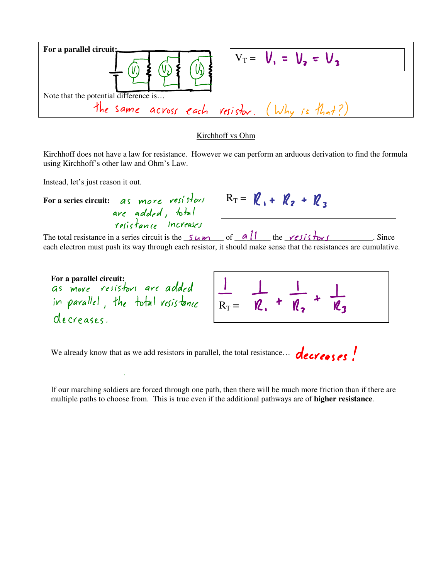| For a parallel circuit:               | $V_T = V_1 = V_2 = V_3$                       |
|---------------------------------------|-----------------------------------------------|
|                                       |                                               |
| Note that the potential difference is |                                               |
|                                       | the same across each resistor. (Why is that?) |
|                                       |                                               |

## Kirchhoff vs Ohm

Kirchhoff does not have a law for resistance. However we can perform an arduous derivation to find the formula using Kirchhoff's other law and Ohm's Law.

Instead, let's just reason it out.

For a series circuit: *as more resistors* are added, total and my my my my<br>resistance increases

$$
R_T = \mathcal{R}_1 + \mathcal{R}_2 + \mathcal{R}_3
$$

The total resistance in a series circuit is the  $\frac{S_{\mu}}{S_{\mu}}$  of  $\frac{a}{l}$  the *resistors* Since each electron must push its way through each resistor, it should make sense that the resistances are cumulative.

For a parallel circuit:<br>*Gs move resistors are added* in parallel, the total resistance decreases.

$$
\frac{1}{R_T} = \frac{1}{R_1} + \frac{1}{R_2} + \frac{1}{R_3}
$$

We already know that as we add resistors in parallel, the total resistance... *decreeses!* 

If our marching soldiers are forced through one path, then there will be much more friction than if there are multiple paths to choose from. This is true even if the additional pathways are of **higher resistance**.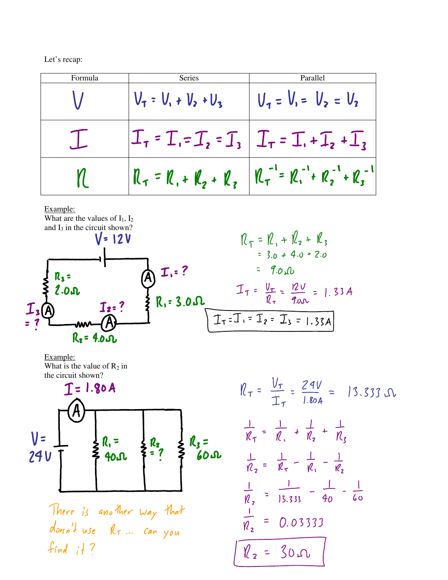Let's recap:

| Formula | <b>Series</b>           | Parallel                                                    |
|---------|-------------------------|-------------------------------------------------------------|
|         | $V_1 = V_1 + V_2 + V_3$ | $V_1 = V_1 = V_2 = V_3$                                     |
|         |                         | $I_r$ = $I_r$ = $I_2$ = $I_3$ $I_r$ = $I_r$ + $I_2$ + $I_3$ |
|         | $R_7 = R_1 + R_2 + R_3$ | $ R_T^{-1} = R_1^{-1} + R_2^{-1} + R_3^{-1} $               |

## Example:



Example: What is the value of  $R_2$  in the circuit shown?



$$
i_{\tau} = \frac{V_{\tau}}{I_{\tau}} = \frac{24V}{1.80A} = 13.333 \text{ J.}
$$
  
\n
$$
\frac{1}{R_{\tau}} = \frac{1}{R_{\tau}} + \frac{1}{R_{z}} + \frac{1}{R_{z}}
$$
  
\n
$$
\frac{1}{R_{z}} = \frac{1}{R_{\tau}} - \frac{1}{R_{1}} - \frac{1}{R_{z}}
$$
  
\n
$$
\frac{1}{R_{z}} = \frac{1}{13.333} - \frac{1}{40} - \frac{1}{60}
$$
  
\n
$$
\frac{1}{R_{z}} = 0.03333
$$
  
\n
$$
\frac{1}{R_{z}} = 30 \text{ J.}
$$